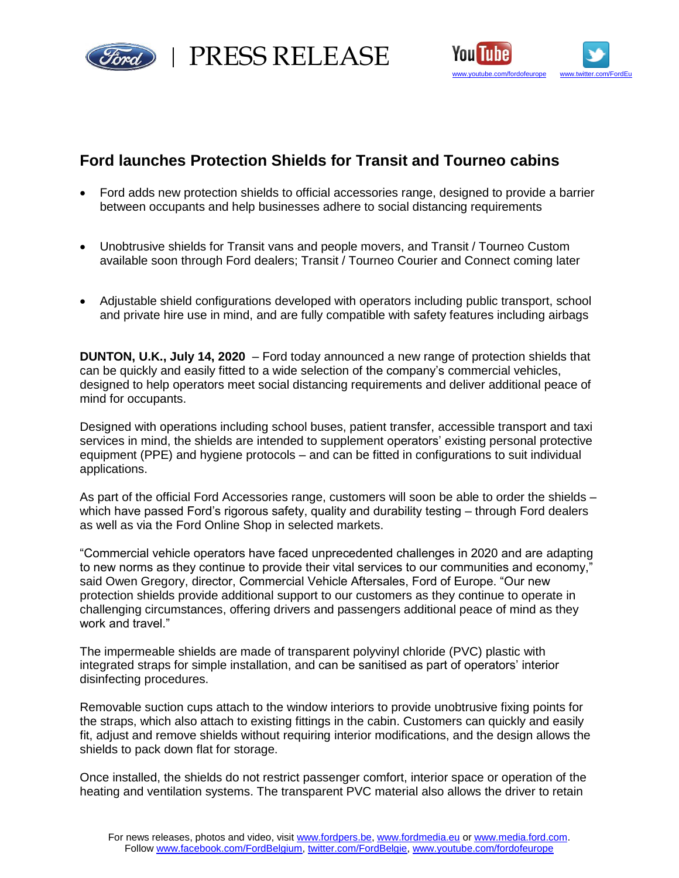

PRESS RELEASE



# **Ford launches Protection Shields for Transit and Tourneo cabins**

- Ford adds new protection shields to official accessories range, designed to provide a barrier between occupants and help businesses adhere to social distancing requirements
- Unobtrusive shields for Transit vans and people movers, and Transit / Tourneo Custom available soon through Ford dealers; Transit / Tourneo Courier and Connect coming later
- Adjustable shield configurations developed with operators including public transport, school and private hire use in mind, and are fully compatible with safety features including airbags

**DUNTON, U.K., July 14, 2020** – Ford today announced a new range of protection shields that can be quickly and easily fitted to a wide selection of the company's commercial vehicles, designed to help operators meet social distancing requirements and deliver additional peace of mind for occupants.

Designed with operations including school buses, patient transfer, accessible transport and taxi services in mind, the shields are intended to supplement operators' existing personal protective equipment (PPE) and hygiene protocols – and can be fitted in configurations to suit individual applications.

As part of the official Ford Accessories range, customers will soon be able to order the shields – which have passed Ford's rigorous safety, quality and durability testing – through Ford dealers as well as via the Ford Online Shop in selected markets.

"Commercial vehicle operators have faced unprecedented challenges in 2020 and are adapting to new norms as they continue to provide their vital services to our communities and economy," said Owen Gregory, director, Commercial Vehicle Aftersales, Ford of Europe. "Our new protection shields provide additional support to our customers as they continue to operate in challenging circumstances, offering drivers and passengers additional peace of mind as they work and travel."

The impermeable shields are made of transparent polyvinyl chloride (PVC) plastic with integrated straps for simple installation, and can be sanitised as part of operators' interior disinfecting procedures.

Removable suction cups attach to the window interiors to provide unobtrusive fixing points for the straps, which also attach to existing fittings in the cabin. Customers can quickly and easily fit, adjust and remove shields without requiring interior modifications, and the design allows the shields to pack down flat for storage.

Once installed, the shields do not restrict passenger comfort, interior space or operation of the heating and ventilation systems. The transparent PVC material also allows the driver to retain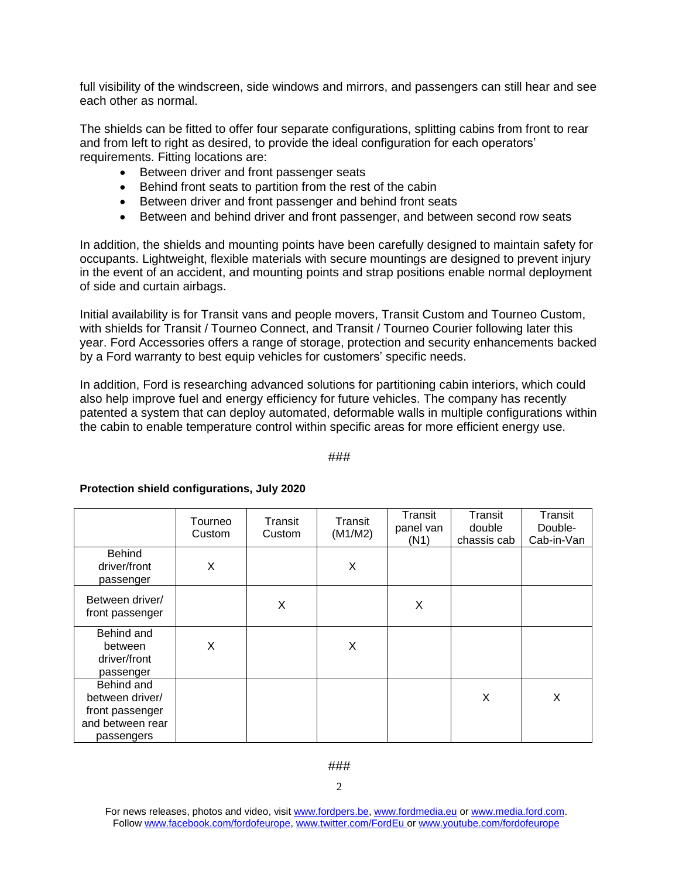full visibility of the windscreen, side windows and mirrors, and passengers can still hear and see each other as normal.

The shields can be fitted to offer four separate configurations, splitting cabins from front to rear and from left to right as desired, to provide the ideal configuration for each operators' requirements. Fitting locations are:

- Between driver and front passenger seats
- Behind front seats to partition from the rest of the cabin
- Between driver and front passenger and behind front seats
- Between and behind driver and front passenger, and between second row seats

In addition, the shields and mounting points have been carefully designed to maintain safety for occupants. Lightweight, flexible materials with secure mountings are designed to prevent injury in the event of an accident, and mounting points and strap positions enable normal deployment of side and curtain airbags.

Initial availability is for Transit vans and people movers, Transit Custom and Tourneo Custom, with shields for Transit / Tourneo Connect, and Transit / Tourneo Courier following later this year. Ford Accessories offers a range of storage, protection and security enhancements backed by a Ford warranty to best equip vehicles for customers' specific needs.

In addition, Ford is researching advanced solutions for partitioning cabin interiors, which could also help improve fuel and energy efficiency for future vehicles. The company has recently patented a system that can deploy automated, deformable walls in multiple configurations within the cabin to enable temperature control within specific areas for more efficient energy use.

###

|                                                                                    | Tourneo<br>Custom | Transit<br>Custom | Transit<br>(M1/M2) | Transit<br>panel van<br>(N1) | Transit<br>double<br>chassis cab | Transit<br>Double-<br>Cab-in-Van |
|------------------------------------------------------------------------------------|-------------------|-------------------|--------------------|------------------------------|----------------------------------|----------------------------------|
| <b>Behind</b><br>driver/front<br>passenger                                         | Χ                 |                   | X                  |                              |                                  |                                  |
| Between driver/<br>front passenger                                                 |                   | X                 |                    | X                            |                                  |                                  |
| Behind and<br>between<br>driver/front<br>passenger                                 | X                 |                   | X                  |                              |                                  |                                  |
| Behind and<br>between driver/<br>front passenger<br>and between rear<br>passengers |                   |                   |                    |                              | X                                | X                                |

## **Protection shield configurations, July 2020**

For news releases, photos and video, visit [www.fordpers.be,](http://www.fordpers.be/) [www.fordmedia.eu](http://www.fordmedia.eu/) or [www.media.ford.com.](http://www.media.ford.com/) Follo[w www.facebook.com/fordofeurope,](http://www.facebook.com/fordofeurope) [www.twitter.com/FordEu](http://www.twitter.com/FordEu) o[r www.youtube.com/fordofeurope](http://www.youtube.com/fordofeurope)